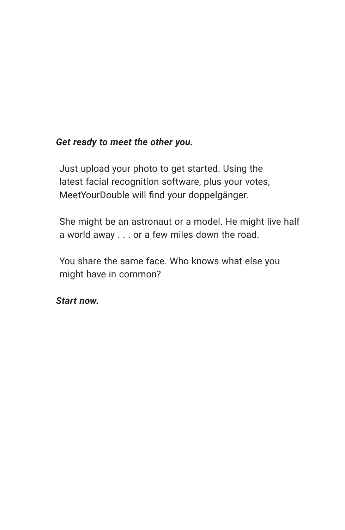#### *Get ready to meet the other you.*

Just upload your photo to get started. Using the latest facial recognition software, plus your votes, MeetYourDouble will find your doppelgänger.

She might be an astronaut or a model. He might live half a world away . . . or a few miles down the road.

You share the same face. Who knows what else you might have in common?

*Start now.*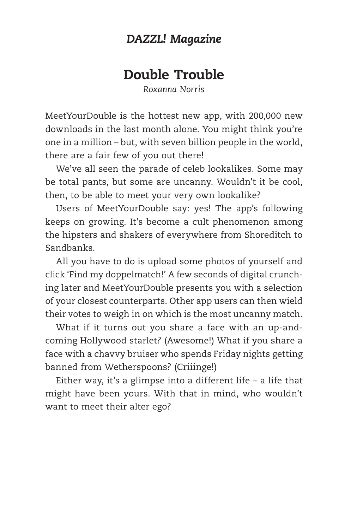## *DAZZL! Magazine*

## Double Trouble

*Roxanna Norris*

MeetYourDouble is the hottest new app, with 200,000 new downloads in the last month alone. You might think you're one in a million – but, with seven billion people in the world, there are a fair few of you out there!

We've all seen the parade of celeb lookalikes. Some may be total pants, but some are uncanny. Wouldn't it be cool, then, to be able to meet your very own lookalike?

Users of MeetYourDouble say: yes! The app's following keeps on growing. It's become a cult phenomenon among the hipsters and shakers of everywhere from Shoreditch to Sandbanks.

All you have to do is upload some photos of yourself and click 'Find my doppelmatch!' A few seconds of digital crunching later and MeetYourDouble presents you with a selection of your closest counterparts. Other app users can then wield their votes to weigh in on which is the most uncanny match.

What if it turns out you share a face with an up-andcoming Hollywood starlet? (Awesome!) What if you share a face with a chavvy bruiser who spends Friday nights getting banned from Wetherspoons? (Criiinge!)

Either way, it's a glimpse into a different life – a life that might have been yours. With that in mind, who wouldn't want to meet their alter ego?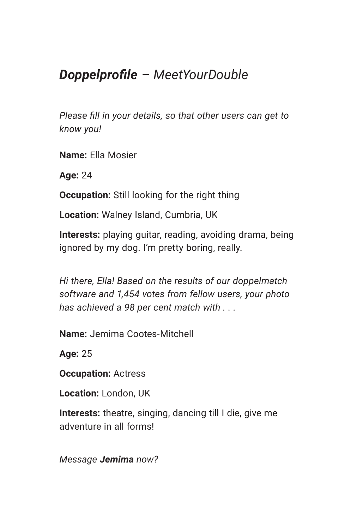# *Doppelprofile – MeetYourDouble*

*Please fill in your details, so that other users can get to know you!*

**Name:** Ella Mosier

**Age:** 24

**Occupation:** Still looking for the right thing

**Location:** Walney Island, Cumbria, UK

**Interests:** playing guitar, reading, avoiding drama, being ignored by my dog. I'm pretty boring, really.

*Hi there, Ella! Based on the results of our doppelmatch software and 1,454 votes from fellow users, your photo has achieved a 98 per cent match with . . .*

**Name:** Jemima Cootes-Mitchell

**Age:** 25

**Occupation:** Actress

**Location:** London, UK

**Interests:** theatre, singing, dancing till I die, give me adventure in all forms!

*Message Jemima now?*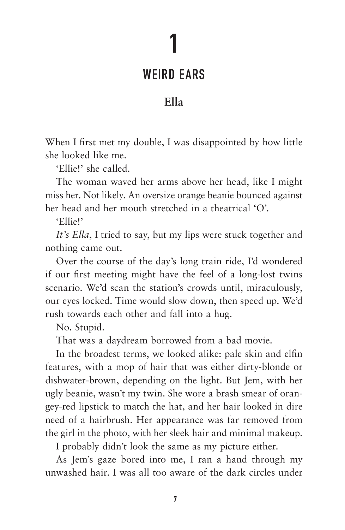# **1**

## **WEIRD EARS**

### **Ella**

When I first met my double, I was disappointed by how little she looked like me.

'Ellie!' she called.

The woman waved her arms above her head, like I might miss her. Not likely. An oversize orange beanie bounced against her head and her mouth stretched in a theatrical 'O'.

'Ellie!'

*It's Ella*, I tried to say, but my lips were stuck together and nothing came out.

Over the course of the day's long train ride, I'd wondered if our first meeting might have the feel of a long-lost twins scenario. We'd scan the station's crowds until, miraculously, our eyes locked. Time would slow down, then speed up. We'd rush towards each other and fall into a hug.

No. Stupid.

That was a daydream borrowed from a bad movie.

In the broadest terms, we looked alike: pale skin and elfin features, with a mop of hair that was either dirty-blonde or dishwater-brown, depending on the light. But Jem, with her ugly beanie, wasn't my twin. She wore a brash smear of orangey-red lipstick to match the hat, and her hair looked in dire need of a hairbrush. Her appearance was far removed from the girl in the photo, with her sleek hair and minimal makeup.

I probably didn't look the same as my picture either.

As Jem's gaze bored into me, I ran a hand through my unwashed hair. I was all too aware of the dark circles under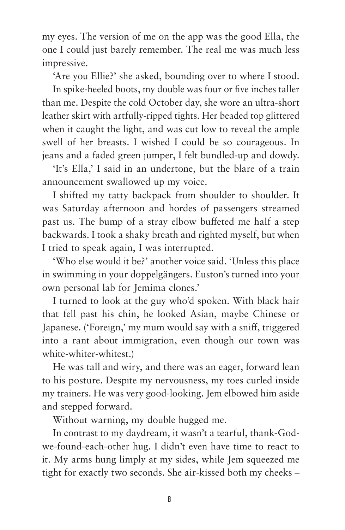my eyes. The version of me on the app was the good Ella, the one I could just barely remember. The real me was much less impressive.

'Are you Ellie?' she asked, bounding over to where I stood.

In spike-heeled boots, my double was four or five inches taller than me. Despite the cold October day, she wore an ultra-short leather skirt with artfully-ripped tights. Her beaded top glittered when it caught the light, and was cut low to reveal the ample swell of her breasts. I wished I could be so courageous. In jeans and a faded green jumper, I felt bundled-up and dowdy.

'It's Ella,' I said in an undertone, but the blare of a train announcement swallowed up my voice.

I shifted my tatty backpack from shoulder to shoulder. It was Saturday afternoon and hordes of passengers streamed past us. The bump of a stray elbow buffeted me half a step backwards. I took a shaky breath and righted myself, but when I tried to speak again, I was interrupted.

'Who else would it be?' another voice said. 'Unless this place in swimming in your doppelgängers. Euston's turned into your own personal lab for Jemima clones.'

I turned to look at the guy who'd spoken. With black hair that fell past his chin, he looked Asian, maybe Chinese or Japanese. ('Foreign,' my mum would say with a sniff, triggered into a rant about immigration, even though our town was white-whiter-whitest.)

He was tall and wiry, and there was an eager, forward lean to his posture. Despite my nervousness, my toes curled inside my trainers. He was very good-looking. Jem elbowed him aside and stepped forward.

Without warning, my double hugged me.

In contrast to my daydream, it wasn't a tearful, thank-Godwe-found-each-other hug. I didn't even have time to react to it. My arms hung limply at my sides, while Jem squeezed me tight for exactly two seconds. She air-kissed both my cheeks –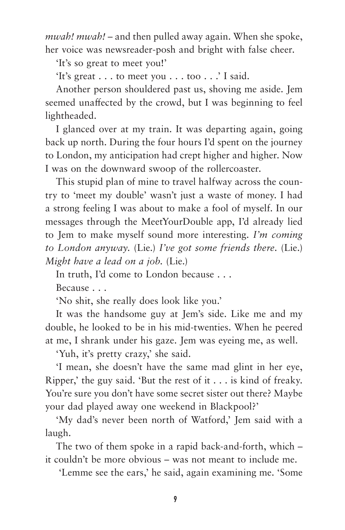*mwah! mwah!* – and then pulled away again. When she spoke, her voice was newsreader-posh and bright with false cheer.

'It's so great to meet you!'

'It's great . . . to meet you . . . too . . .' I said.

Another person shouldered past us, shoving me aside. Jem seemed unaffected by the crowd, but I was beginning to feel lightheaded.

I glanced over at my train. It was departing again, going back up north. During the four hours I'd spent on the journey to London, my anticipation had crept higher and higher. Now I was on the downward swoop of the rollercoaster.

This stupid plan of mine to travel halfway across the country to 'meet my double' wasn't just a waste of money. I had a strong feeling I was about to make a fool of myself. In our messages through the MeetYourDouble app, I'd already lied to Jem to make myself sound more interesting. *I'm coming to London anyway.* (Lie.) *I've got some friends there.* (Lie.) *Might have a lead on a job.* (Lie.)

In truth, I'd come to London because . . .

Because . . .

'No shit, she really does look like you.'

It was the handsome guy at Jem's side. Like me and my double, he looked to be in his mid-twenties. When he peered at me, I shrank under his gaze. Jem was eyeing me, as well.

'Yuh, it's pretty crazy,' she said.

'I mean, she doesn't have the same mad glint in her eye, Ripper,' the guy said. 'But the rest of it  $\ldots$  is kind of freaky. You're sure you don't have some secret sister out there? Maybe your dad played away one weekend in Blackpool?'

'My dad's never been north of Watford,' Jem said with a laugh.

The two of them spoke in a rapid back-and-forth, which – it couldn't be more obvious – was not meant to include me.

'Lemme see the ears,' he said, again examining me. 'Some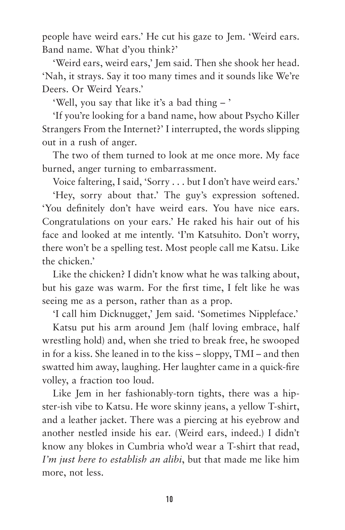people have weird ears.' He cut his gaze to Jem. 'Weird ears. Band name. What d'you think?'

'Weird ears, weird ears,' Jem said. Then she shook her head. 'Nah, it strays. Say it too many times and it sounds like We're Deers. Or Weird Years.'

'Well, you say that like it's a bad thing – '

'If you're looking for a band name, how about Psycho Killer Strangers From the Internet?' I interrupted, the words slipping out in a rush of anger.

The two of them turned to look at me once more. My face burned, anger turning to embarrassment.

Voice faltering, I said, 'Sorry . . . but I don't have weird ears.'

'Hey, sorry about that.' The guy's expression softened. 'You definitely don't have weird ears. You have nice ears. Congratulations on your ears.' He raked his hair out of his face and looked at me intently. 'I'm Katsuhito. Don't worry, there won't be a spelling test. Most people call me Katsu. Like the chicken.'

Like the chicken? I didn't know what he was talking about, but his gaze was warm. For the first time, I felt like he was seeing me as a person, rather than as a prop.

'I call him Dicknugget,' Jem said. 'Sometimes Nippleface.'

Katsu put his arm around Jem (half loving embrace, half wrestling hold) and, when she tried to break free, he swooped in for a kiss. She leaned in to the kiss – sloppy, TMI – and then swatted him away, laughing. Her laughter came in a quick-fire volley, a fraction too loud.

Like Jem in her fashionably-torn tights, there was a hipster-ish vibe to Katsu. He wore skinny jeans, a yellow T-shirt, and a leather jacket. There was a piercing at his eyebrow and another nestled inside his ear. (Weird ears, indeed.) I didn't know any blokes in Cumbria who'd wear a T-shirt that read, *I'm just here to establish an alibi*, but that made me like him more, not less.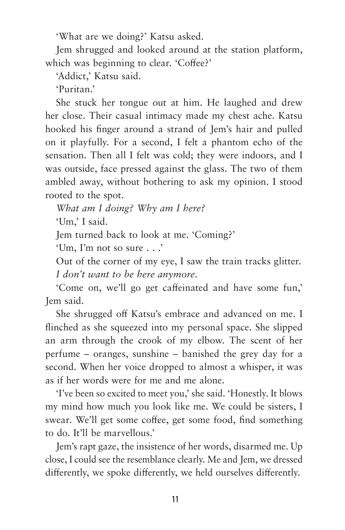'What are we doing?' Katsu asked.

Jem shrugged and looked around at the station platform, which was beginning to clear. 'Coffee?'

'Addict,' Katsu said.

'Puritan.'

She stuck her tongue out at him. He laughed and drew her close. Their casual intimacy made my chest ache. Katsu hooked his finger around a strand of Jem's hair and pulled on it playfully. For a second, I felt a phantom echo of the sensation. Then all I felt was cold; they were indoors, and I was outside, face pressed against the glass. The two of them ambled away, without bothering to ask my opinion. I stood rooted to the spot.

*What am I doing? Why am I here?*

'Um,' I said.

Jem turned back to look at me. 'Coming?'

'Um, I'm not so sure . . .'

Out of the corner of my eye, I saw the train tracks glitter. *I don't want to be here anymore.*

'Come on, we'll go get caffeinated and have some fun,' Jem said.

She shrugged off Katsu's embrace and advanced on me. I flinched as she squeezed into my personal space. She slipped an arm through the crook of my elbow. The scent of her perfume – oranges, sunshine – banished the grey day for a second. When her voice dropped to almost a whisper, it was as if her words were for me and me alone.

'I've been so excited to meet you,' she said. 'Honestly. It blows my mind how much you look like me. We could be sisters, I swear. We'll get some coffee, get some food, find something to do. It'll be marvellous.'

Jem's rapt gaze, the insistence of her words, disarmed me. Up close, I could see the resemblance clearly. Me and Jem, we dressed differently, we spoke differently, we held ourselves differently.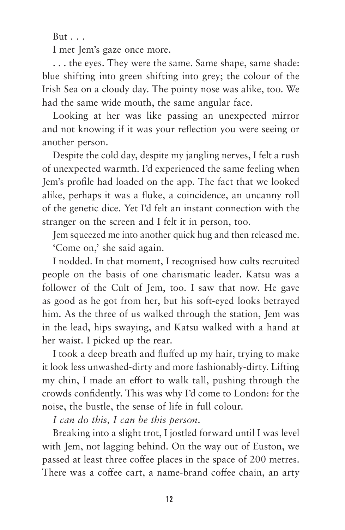But . . .

I met Jem's gaze once more.

. . . the eyes. They were the same. Same shape, same shade: blue shifting into green shifting into grey; the colour of the Irish Sea on a cloudy day. The pointy nose was alike, too. We had the same wide mouth, the same angular face.

Looking at her was like passing an unexpected mirror and not knowing if it was your reflection you were seeing or another person.

Despite the cold day, despite my jangling nerves, I felt a rush of unexpected warmth. I'd experienced the same feeling when Jem's profile had loaded on the app. The fact that we looked alike, perhaps it was a fluke, a coincidence, an uncanny roll of the genetic dice. Yet I'd felt an instant connection with the stranger on the screen and I felt it in person, too.

Jem squeezed me into another quick hug and then released me. 'Come on,' she said again.

I nodded. In that moment, I recognised how cults recruited people on the basis of one charismatic leader. Katsu was a follower of the Cult of Jem, too. I saw that now. He gave as good as he got from her, but his soft-eyed looks betrayed him. As the three of us walked through the station, Jem was in the lead, hips swaying, and Katsu walked with a hand at her waist. I picked up the rear.

I took a deep breath and fluffed up my hair, trying to make it look less unwashed-dirty and more fashionably-dirty. Lifting my chin, I made an effort to walk tall, pushing through the crowds confidently. This was why I'd come to London: for the noise, the bustle, the sense of life in full colour.

*I can do this, I can be this person.*

Breaking into a slight trot, I jostled forward until I was level with Jem, not lagging behind. On the way out of Euston, we passed at least three coffee places in the space of 200 metres. There was a coffee cart, a name-brand coffee chain, an arty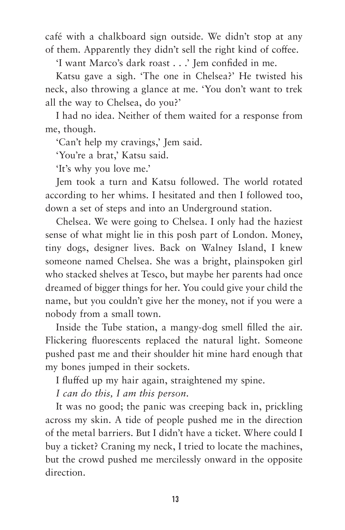café with a chalkboard sign outside. We didn't stop at any of them. Apparently they didn't sell the right kind of coffee.

'I want Marco's dark roast . . .' Jem confided in me.

Katsu gave a sigh. 'The one in Chelsea?' He twisted his neck, also throwing a glance at me. 'You don't want to trek all the way to Chelsea, do you?'

I had no idea. Neither of them waited for a response from me, though.

'Can't help my cravings,' Jem said.

'You're a brat,' Katsu said.

'It's why you love me.'

Jem took a turn and Katsu followed. The world rotated according to her whims. I hesitated and then I followed too, down a set of steps and into an Underground station.

Chelsea. We were going to Chelsea. I only had the haziest sense of what might lie in this posh part of London. Money, tiny dogs, designer lives. Back on Walney Island, I knew someone named Chelsea. She was a bright, plainspoken girl who stacked shelves at Tesco, but maybe her parents had once dreamed of bigger things for her. You could give your child the name, but you couldn't give her the money, not if you were a nobody from a small town.

Inside the Tube station, a mangy-dog smell filled the air. Flickering fluorescents replaced the natural light. Someone pushed past me and their shoulder hit mine hard enough that my bones jumped in their sockets.

I fluffed up my hair again, straightened my spine.

*I can do this, I am this person.*

It was no good; the panic was creeping back in, prickling across my skin. A tide of people pushed me in the direction of the metal barriers. But I didn't have a ticket. Where could I buy a ticket? Craning my neck, I tried to locate the machines, but the crowd pushed me mercilessly onward in the opposite direction.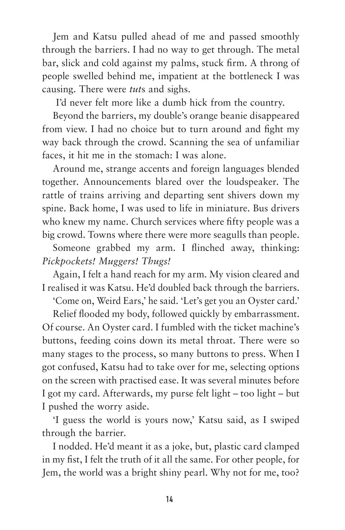Jem and Katsu pulled ahead of me and passed smoothly through the barriers. I had no way to get through. The metal bar, slick and cold against my palms, stuck firm. A throng of people swelled behind me, impatient at the bottleneck I was causing. There were *tut*s and sighs.

I'd never felt more like a dumb hick from the country.

Beyond the barriers, my double's orange beanie disappeared from view. I had no choice but to turn around and fight my way back through the crowd. Scanning the sea of unfamiliar faces, it hit me in the stomach: I was alone.

Around me, strange accents and foreign languages blended together. Announcements blared over the loudspeaker. The rattle of trains arriving and departing sent shivers down my spine. Back home, I was used to life in miniature. Bus drivers who knew my name. Church services where fifty people was a big crowd. Towns where there were more seagulls than people.

Someone grabbed my arm. I flinched away, thinking: *Pickpockets! Muggers! Thugs!*

Again, I felt a hand reach for my arm. My vision cleared and I realised it was Katsu. He'd doubled back through the barriers.

'Come on, Weird Ears,' he said. 'Let's get you an Oyster card.'

Relief flooded my body, followed quickly by embarrassment. Of course. An Oyster card. I fumbled with the ticket machine's buttons, feeding coins down its metal throat. There were so many stages to the process, so many buttons to press. When I got confused, Katsu had to take over for me, selecting options on the screen with practised ease. It was several minutes before I got my card. Afterwards, my purse felt light – too light – but I pushed the worry aside.

'I guess the world is yours now,' Katsu said, as I swiped through the barrier.

I nodded. He'd meant it as a joke, but, plastic card clamped in my fist, I felt the truth of it all the same. For other people, for Jem, the world was a bright shiny pearl. Why not for me, too?